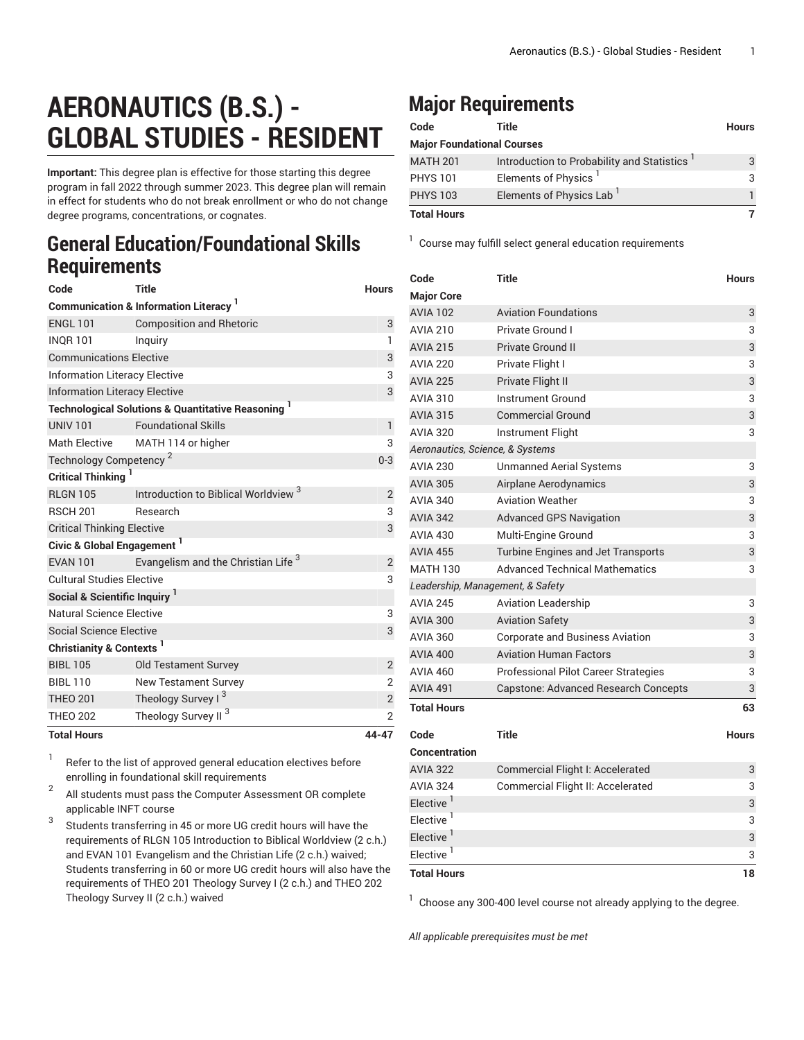## **AERONAUTICS (B.S.) - GLOBAL STUDIES - RESIDENT**

**Important:** This degree plan is effective for those starting this degree program in fall 2022 through summer 2023. This degree plan will remain in effect for students who do not break enrollment or who do not change degree programs, concentrations, or cognates.

## **General Education/Foundational Skills Requirements**

| Code                                                         | <b>Title</b>                                                             | <b>Hours</b>   |  |  |  |
|--------------------------------------------------------------|--------------------------------------------------------------------------|----------------|--|--|--|
| <b>Communication &amp; Information Literacy</b> <sup>1</sup> |                                                                          |                |  |  |  |
| <b>ENGL 101</b>                                              | <b>Composition and Rhetoric</b>                                          | 3              |  |  |  |
| <b>INOR 101</b>                                              | Inguiry                                                                  | $\mathbf{1}$   |  |  |  |
| <b>Communications Elective</b>                               | 3                                                                        |                |  |  |  |
| <b>Information Literacy Elective</b>                         | 3                                                                        |                |  |  |  |
| <b>Information Literacy Elective</b>                         | 3                                                                        |                |  |  |  |
|                                                              | <b>Technological Solutions &amp; Quantitative Reasoning</b> <sup>1</sup> |                |  |  |  |
| <b>UNIV 101</b>                                              | <b>Foundational Skills</b>                                               | $\mathbf{1}$   |  |  |  |
| <b>Math Elective</b>                                         | MATH 114 or higher                                                       | 3              |  |  |  |
| Technology Competency <sup>2</sup>                           | $0 - 3$                                                                  |                |  |  |  |
| Critical Thinking                                            |                                                                          |                |  |  |  |
| <b>RLGN 105</b>                                              | Introduction to Biblical Worldview <sup>3</sup>                          | $\overline{2}$ |  |  |  |
| <b>RSCH 201</b>                                              | <b>Research</b>                                                          | 3              |  |  |  |
| <b>Critical Thinking Elective</b>                            | 3                                                                        |                |  |  |  |
| Civic & Global Engagement <sup>1</sup>                       |                                                                          |                |  |  |  |
| <b>EVAN 101</b>                                              | Evangelism and the Christian Life <sup>3</sup>                           | 2              |  |  |  |
| <b>Cultural Studies Elective</b>                             |                                                                          |                |  |  |  |
|                                                              | Social & Scientific Inquiry <sup>1</sup>                                 |                |  |  |  |
| Natural Science Elective                                     |                                                                          | 3              |  |  |  |
| <b>Social Science Elective</b>                               |                                                                          | 3              |  |  |  |
| Christianity & Contexts <sup>1</sup>                         |                                                                          |                |  |  |  |
| <b>BIBL 105</b>                                              | <b>Old Testament Survey</b>                                              | $\overline{2}$ |  |  |  |
| <b>BIBL 110</b>                                              | New Testament Survey                                                     | $\overline{2}$ |  |  |  |
| <b>THEO 201</b>                                              | Theology Survey I <sup>3</sup>                                           | $\sqrt{2}$     |  |  |  |
| <b>THEO 202</b>                                              | Theology Survey II <sup>3</sup>                                          | $\overline{2}$ |  |  |  |
| <b>Total Hours</b>                                           |                                                                          | 44-47          |  |  |  |

1 Refer to the list of approved general [education](https://www.liberty.edu/gened/) electives before enrolling in foundational skill requirements

2 All students must pass the [Computer Assessment](https://www.liberty.edu/computerassessment/) OR complete applicable INFT course

3 Students transferring in 45 or more UG credit hours will have the requirements of RLGN 105 Introduction to Biblical Worldview (2 c.h.) and EVAN 101 Evangelism and the Christian Life (2 c.h.) waived; Students transferring in 60 or more UG credit hours will also have the requirements of THEO 201 Theology Survey I (2 c.h.) and THEO 202 Theology Survey II (2 c.h.) waived

## **Major Requirements**

| Code                              | Title                                      | <b>Hours</b> |  |  |
|-----------------------------------|--------------------------------------------|--------------|--|--|
| <b>Major Foundational Courses</b> |                                            |              |  |  |
| <b>MATH 201</b>                   | Introduction to Probability and Statistics | 3            |  |  |
| <b>PHYS 101</b>                   | Elements of Physics <sup>1</sup>           | 3            |  |  |
| <b>PHYS 103</b>                   | Elements of Physics Lab                    |              |  |  |
| <b>Total Hours</b>                |                                            |              |  |  |

<sup>1</sup> Course may fulfill select general education [requirements](http://www.liberty.edu/academics/generalstudies/?PID=37563)

| Code                             | <b>Title</b>                                | <b>Hours</b> |  |  |
|----------------------------------|---------------------------------------------|--------------|--|--|
| <b>Major Core</b>                |                                             |              |  |  |
| <b>AVIA 102</b>                  | <b>Aviation Foundations</b>                 | 3            |  |  |
| <b>AVIA 210</b>                  | Private Ground I                            | 3            |  |  |
| <b>AVIA 215</b>                  | <b>Private Ground II</b>                    | 3            |  |  |
| <b>AVIA 220</b>                  | Private Flight I                            | 3            |  |  |
| <b>AVIA 225</b>                  | Private Flight II                           | 3            |  |  |
| <b>AVIA 310</b>                  | <b>Instrument Ground</b>                    | 3            |  |  |
| <b>AVIA 315</b>                  | <b>Commercial Ground</b>                    | 3            |  |  |
| <b>AVIA 320</b>                  | Instrument Flight                           | 3            |  |  |
| Aeronautics, Science, & Systems  |                                             |              |  |  |
| <b>AVIA 230</b>                  | <b>Unmanned Aerial Systems</b>              | 3            |  |  |
| <b>AVIA 305</b>                  | Airplane Aerodynamics                       | 3            |  |  |
| <b>AVIA 340</b>                  | <b>Aviation Weather</b>                     | 3            |  |  |
| <b>AVIA 342</b>                  | <b>Advanced GPS Navigation</b>              | 3            |  |  |
| <b>AVIA 430</b>                  | Multi-Engine Ground                         | 3            |  |  |
| <b>AVIA 455</b>                  | Turbine Engines and Jet Transports          | 3            |  |  |
| <b>MATH 130</b>                  | <b>Advanced Technical Mathematics</b>       | 3            |  |  |
| Leadership, Management, & Safety |                                             |              |  |  |
| <b>AVIA 245</b>                  | <b>Aviation Leadership</b>                  | 3            |  |  |
| <b>AVIA 300</b>                  | <b>Aviation Safety</b>                      | 3            |  |  |
| <b>AVIA 360</b>                  | <b>Corporate and Business Aviation</b>      | 3            |  |  |
| <b>AVIA 400</b>                  | <b>Aviation Human Factors</b>               | 3            |  |  |
| <b>AVIA 460</b>                  | <b>Professional Pilot Career Strategies</b> | 3            |  |  |
| <b>AVIA 491</b>                  | Capstone: Advanced Research Concepts        | 3            |  |  |
| <b>Total Hours</b>               |                                             | 63           |  |  |
| Code                             | <b>Title</b>                                | <b>Hours</b> |  |  |
| Concentration                    |                                             |              |  |  |
| <b>AVIA 322</b>                  | Commercial Flight I: Accelerated            | 3            |  |  |
| <b>AVIA 324</b>                  | Commercial Flight II: Accelerated           | 3            |  |  |
| Elective <sup>1</sup>            |                                             | 3            |  |  |
| Elective <sup>1</sup>            |                                             | 3            |  |  |
| Elective <sup>1</sup>            |                                             | 3            |  |  |
| Elective <sup>1</sup>            |                                             | 3            |  |  |
| <b>Total Hours</b>               |                                             | 18           |  |  |

 $1$  Choose any 300-400 level course not already applying to the degree.

*All applicable prerequisites must be met*